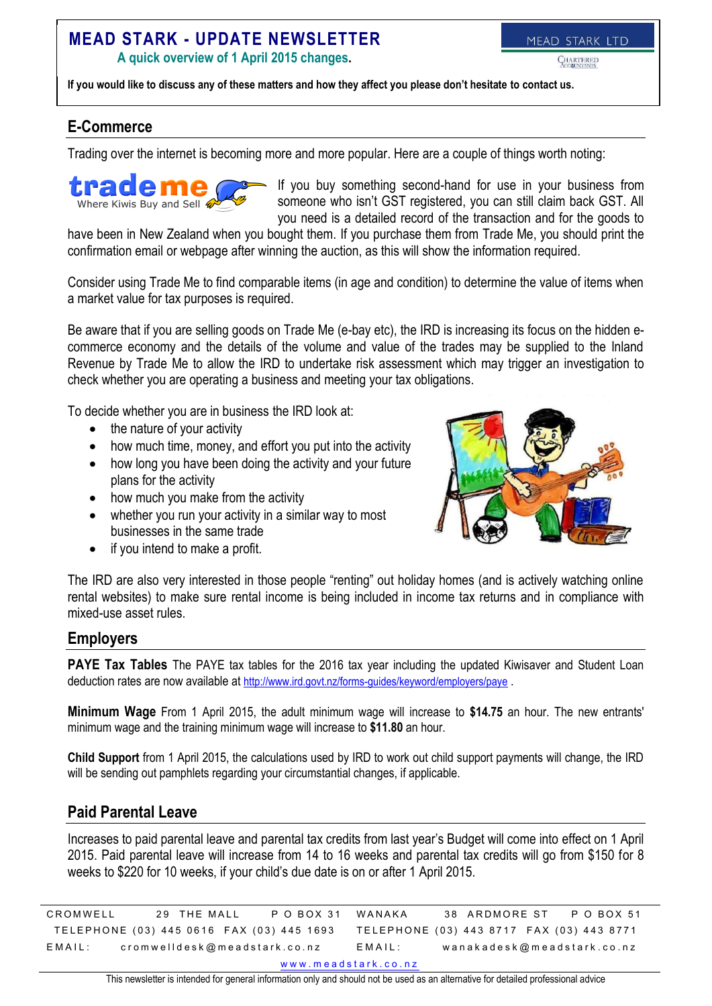# **MEAD STARK - UPDATE NEWSLETTER**

**A quick overview of 1 April 2015 changes.**

MEAD STARK LTD

**If you would like to discuss any of these matters and how they affect you please don't hesitate to contact us.**

# **E-Commerce**

Trading over the internet is becoming more and more popular. Here are a couple of things worth noting:



If you buy something second-hand for use in your business from someone who isn't GST registered, you can still claim back GST. All you need is a detailed record of the transaction and for the goods to

have been in New Zealand when you bought them. If you purchase them from Trade Me, you should print the confirmation email or webpage after winning the auction, as this will show the information required.

Consider using Trade Me to find comparable items (in age and condition) to determine the value of items when a market value for tax purposes is required.

Be aware that if you are selling goods on Trade Me (e-bay etc), the IRD is increasing its focus on the hidden ecommerce economy and the details of the volume and value of the trades may be supplied to the Inland Revenue by Trade Me to allow the IRD to undertake risk assessment which may trigger an investigation to check whether you are operating a business and meeting your tax obligations.

To decide whether you are in business the IRD look at:

- the nature of your activity
- how much time, money, and effort you put into the activity
- how long you have been doing the activity and your future plans for the activity
- how much you make from the activity
- whether you run your activity in a similar way to most businesses in the same trade
- $\bullet$  if you intend to make a profit.



The IRD are also very interested in those people "renting" out holiday homes (and is actively watching online rental websites) to make sure rental income is being included in income tax returns and in compliance with mixed-use asset rules.

#### **Employers**

**PAYE Tax Tables** The PAYE tax tables for the 2016 tax year including the updated Kiwisaver and Student Loan deduction rates are now available at <http://www.ird.govt.nz/forms-guides/keyword/employers/paye> .

**Minimum Wage** From 1 April 2015, the adult minimum wage will increase to **\$14.75** an hour. The new entrants' minimum wage and the training minimum wage will increase to **\$11.80** an hour.

**Child Support** from 1 April 2015, the calculations used by IRD to work out child support payments will change, the IRD will be sending out pamphlets regarding your circumstantial changes, if applicable.

#### **Paid Parental Leave**

Increases to paid parental leave and parental tax credits from last year's Budget will come into effect on 1 April 2015. Paid parental leave will increase from 14 to 16 weeks and parental tax credits will go from \$150 for 8 weeks to \$220 for 10 weeks, if your child's due date is on or after 1 April 2015.

C ROMWELL 29 THE MALL P O BOX 31 TELEPHONE (03) 445 0616 FAX (03) 445 1693 E M A I L: crom w ell desk @ m e a d stark . co. n z WANAKA 38 ARDMORE ST P O BOX 51 TELEPHONE (03) 443 8717 FAX (03) 443 8771 E M A I L: wan a k a desk @ m e a d stark . co. n z www.meadstark.co.nz

This newsletter is intended for general information only and should not be used as an alternative for detailed professional advice